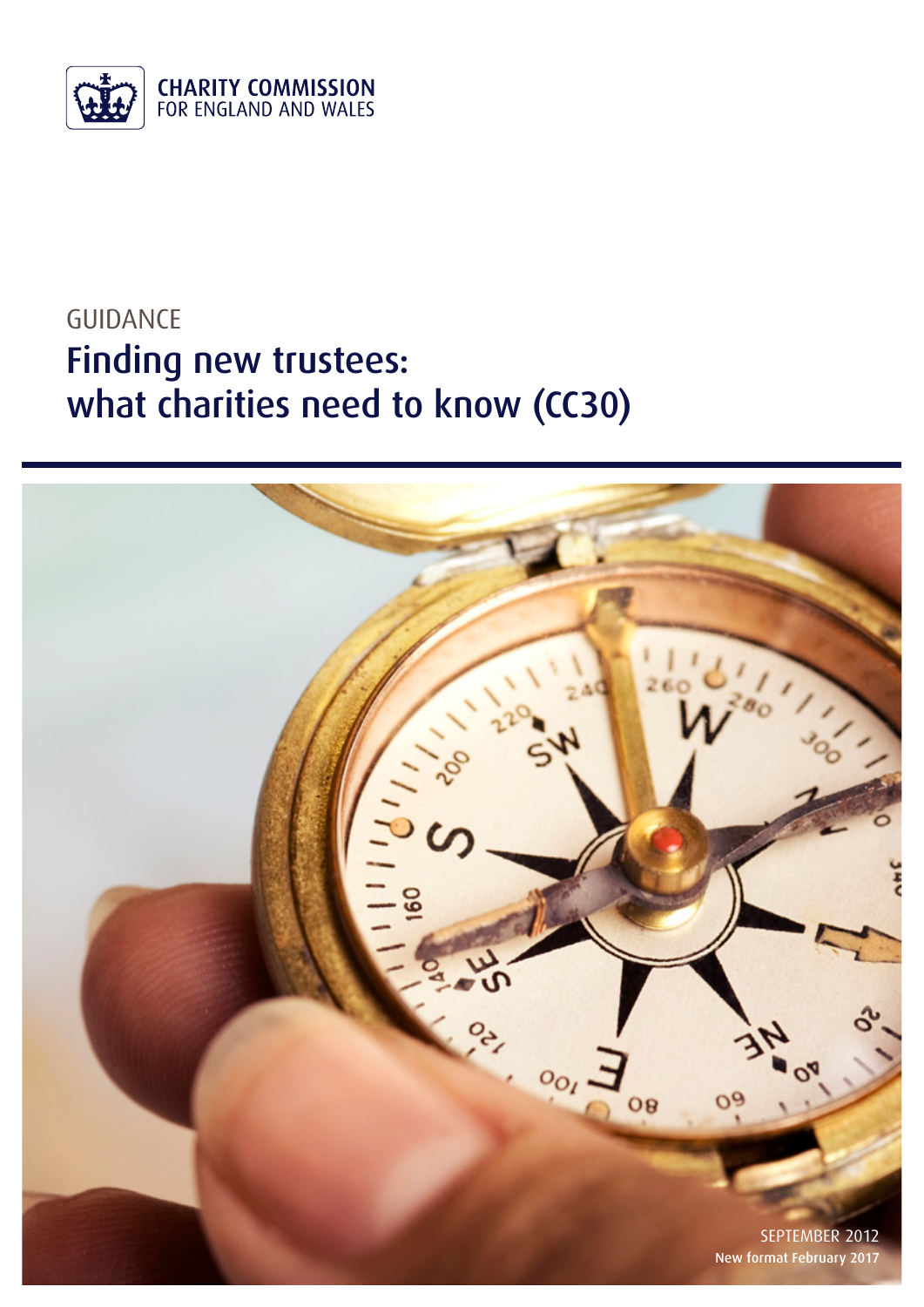

# GUIDANCE Finding new trustees: what charities need to know (CC30)

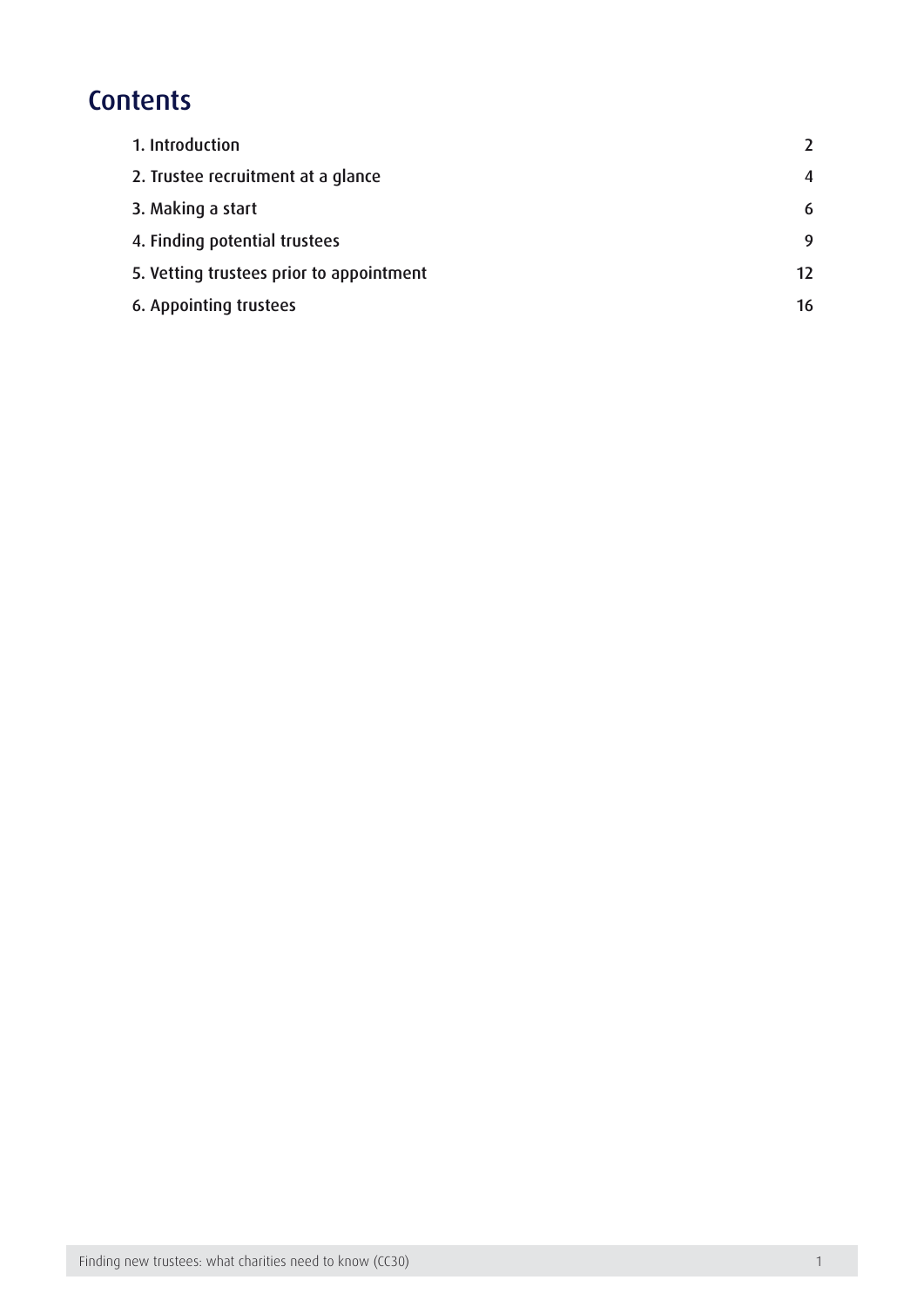## **Contents**

| 1. Introduction                          |                  |
|------------------------------------------|------------------|
| 2. Trustee recruitment at a glance       | $\boldsymbol{4}$ |
| 3. Making a start                        | 6                |
| 4. Finding potential trustees            | 9                |
| 5. Vetting trustees prior to appointment | 12               |
| 6. Appointing trustees                   | 16               |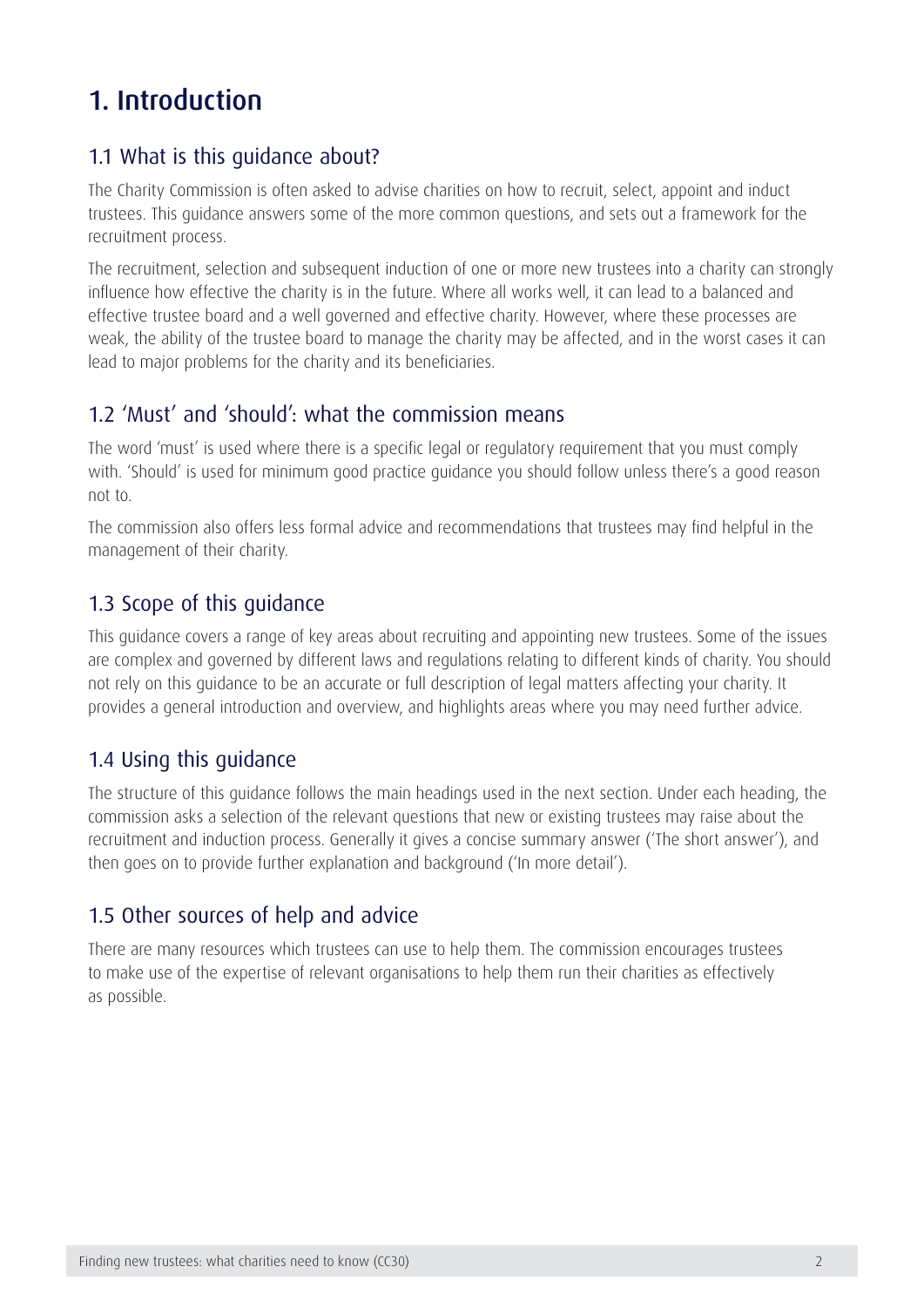## <span id="page-2-0"></span>1. Introduction

### 1.1 What is this guidance about?

The Charity Commission is often asked to advise charities on how to recruit, select, appoint and induct trustees. This guidance answers some of the more common questions, and sets out a framework for the recruitment process.

The recruitment, selection and subsequent induction of one or more new trustees into a charity can strongly influence how effective the charity is in the future. Where all works well, it can lead to a balanced and effective trustee board and a well governed and effective charity. However, where these processes are weak, the ability of the trustee board to manage the charity may be affected, and in the worst cases it can lead to major problems for the charity and its beneficiaries.

### 1.2 'Must' and 'should': what the commission means

The word 'must' is used where there is a specific legal or regulatory requirement that you must comply with. 'Should' is used for minimum good practice guidance you should follow unless there's a good reason not to.

The commission also offers less formal advice and recommendations that trustees may find helpful in the management of their charity.

### 1.3 Scope of this guidance

This guidance covers a range of key areas about recruiting and appointing new trustees. Some of the issues are complex and governed by different laws and regulations relating to different kinds of charity. You should not rely on this guidance to be an accurate or full description of legal matters affecting your charity. It provides a general introduction and overview, and highlights areas where you may need further advice.

### 1.4 Using this guidance

The structure of this guidance follows the main headings used in the next section. Under each heading, the commission asks a selection of the relevant questions that new or existing trustees may raise about the recruitment and induction process. Generally it gives a concise summary answer ('The short answer'), and then goes on to provide further explanation and background ('In more detail').

### 1.5 Other sources of help and advice

There are many resources which trustees can use to help them. The commission encourages trustees to make use of the expertise of relevant organisations to help them run their charities as effectively as possible.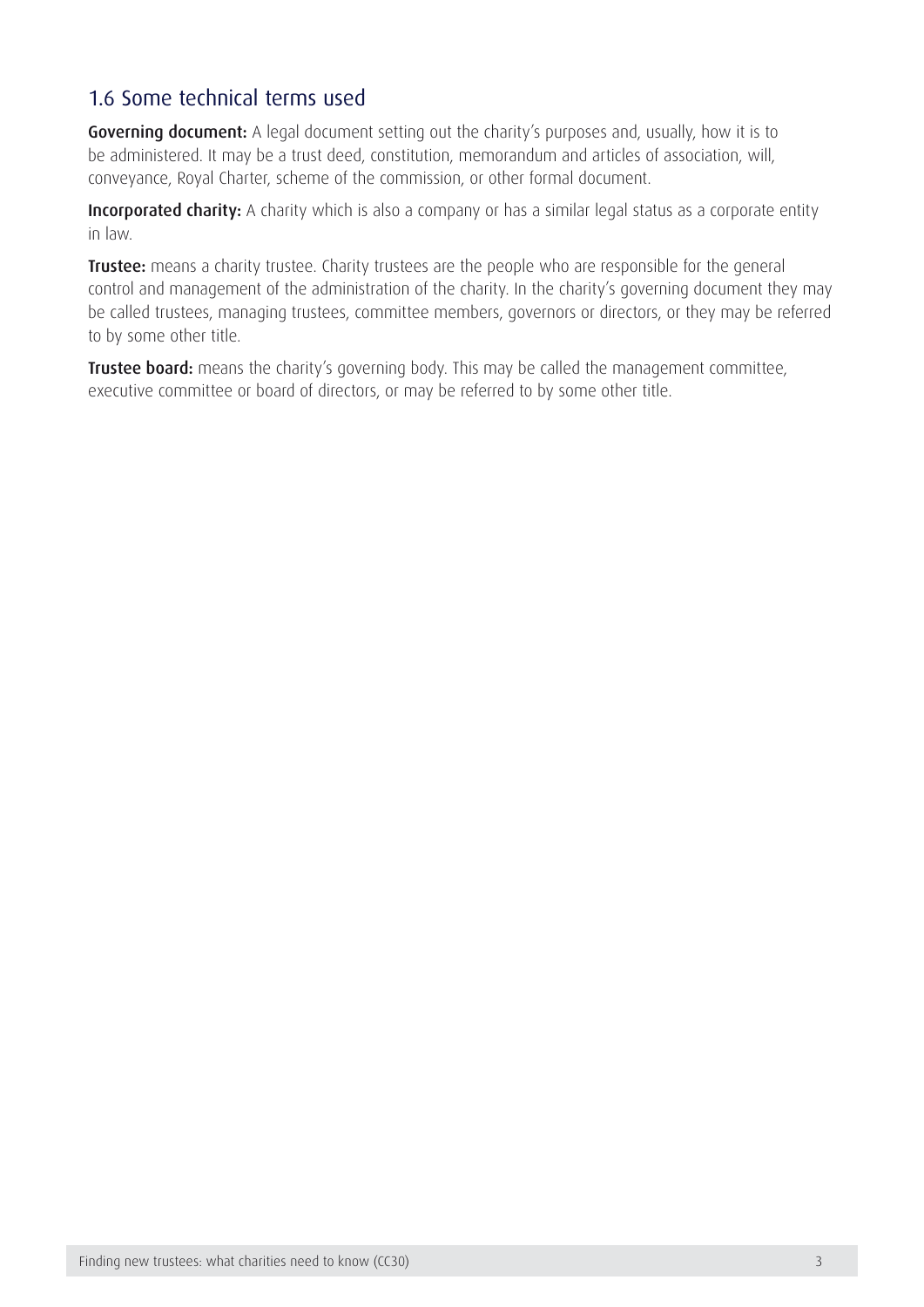### 1.6 Some technical terms used

Governing document: A legal document setting out the charity's purposes and, usually, how it is to be administered. It may be a trust deed, constitution, memorandum and articles of association, will, conveyance, Royal Charter, scheme of the commission, or other formal document.

Incorporated charity: A charity which is also a company or has a similar legal status as a corporate entity in law.

**Trustee:** means a charity trustee. Charity trustees are the people who are responsible for the general control and management of the administration of the charity. In the charity's governing document they may be called trustees, managing trustees, committee members, governors or directors, or they may be referred to by some other title.

**Trustee board:** means the charity's governing body. This may be called the management committee, executive committee or board of directors, or may be referred to by some other title.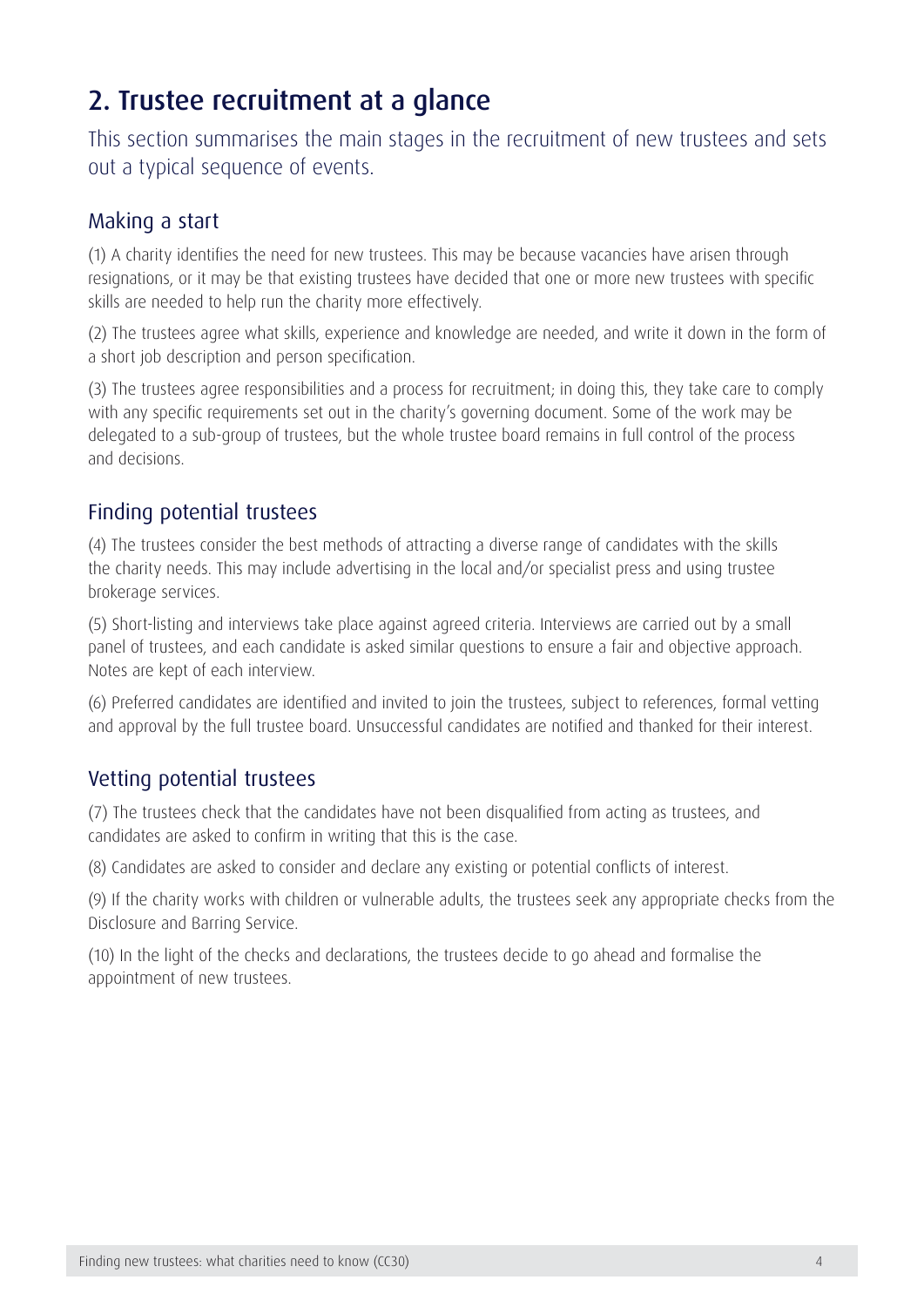## <span id="page-4-0"></span>2. Trustee recruitment at a glance

This section summarises the main stages in the recruitment of new trustees and sets out a typical sequence of events.

### Making a start

(1) A charity identifies the need for new trustees. This may be because vacancies have arisen through resignations, or it may be that existing trustees have decided that one or more new trustees with specific skills are needed to help run the charity more effectively.

(2) The trustees agree what skills, experience and knowledge are needed, and write it down in the form of a short job description and person specification.

(3) The trustees agree responsibilities and a process for recruitment; in doing this, they take care to comply with any specific requirements set out in the charity's governing document. Some of the work may be delegated to a sub-group of trustees, but the whole trustee board remains in full control of the process and decisions.

### Finding potential trustees

(4) The trustees consider the best methods of attracting a diverse range of candidates with the skills the charity needs. This may include advertising in the local and/or specialist press and using trustee brokerage services.

(5) Short-listing and interviews take place against agreed criteria. Interviews are carried out by a small panel of trustees, and each candidate is asked similar questions to ensure a fair and objective approach. Notes are kept of each interview.

(6) Preferred candidates are identified and invited to join the trustees, subject to references, formal vetting and approval by the full trustee board. Unsuccessful candidates are notified and thanked for their interest.

### Vetting potential trustees

(7) The trustees check that the candidates have not been disqualified from acting as trustees, and candidates are asked to confirm in writing that this is the case.

(8) Candidates are asked to consider and declare any existing or potential conflicts of interest.

(9) If the charity works with children or vulnerable adults, the trustees seek any appropriate checks from the Disclosure and Barring Service.

(10) In the light of the checks and declarations, the trustees decide to go ahead and formalise the appointment of new trustees.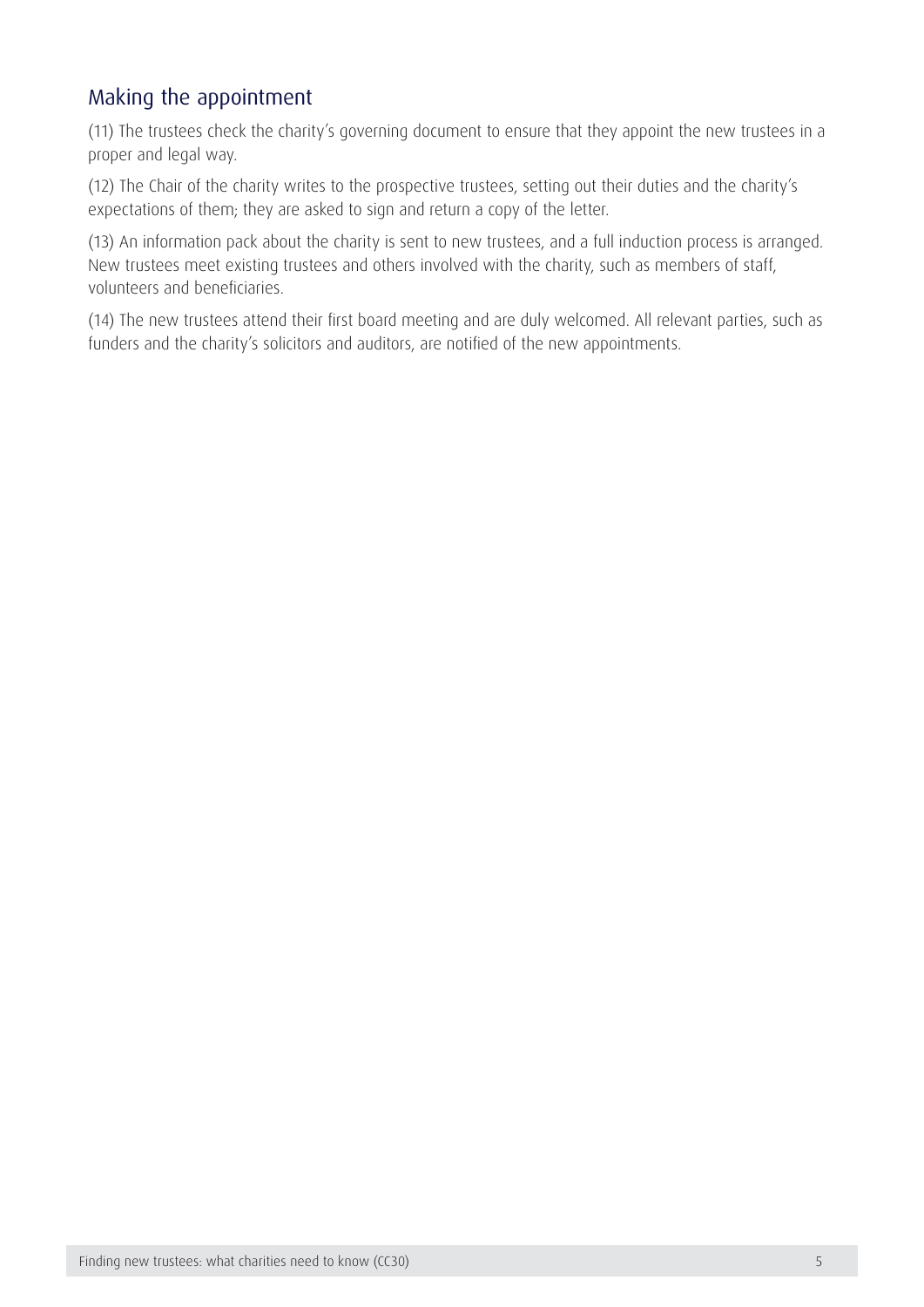### Making the appointment

(11) The trustees check the charity's governing document to ensure that they appoint the new trustees in a proper and legal way.

(12) The Chair of the charity writes to the prospective trustees, setting out their duties and the charity's expectations of them; they are asked to sign and return a copy of the letter.

(13) An information pack about the charity is sent to new trustees, and a full induction process is arranged. New trustees meet existing trustees and others involved with the charity, such as members of staff, volunteers and beneficiaries.

(14) The new trustees attend their first board meeting and are duly welcomed. All relevant parties, such as funders and the charity's solicitors and auditors, are notified of the new appointments.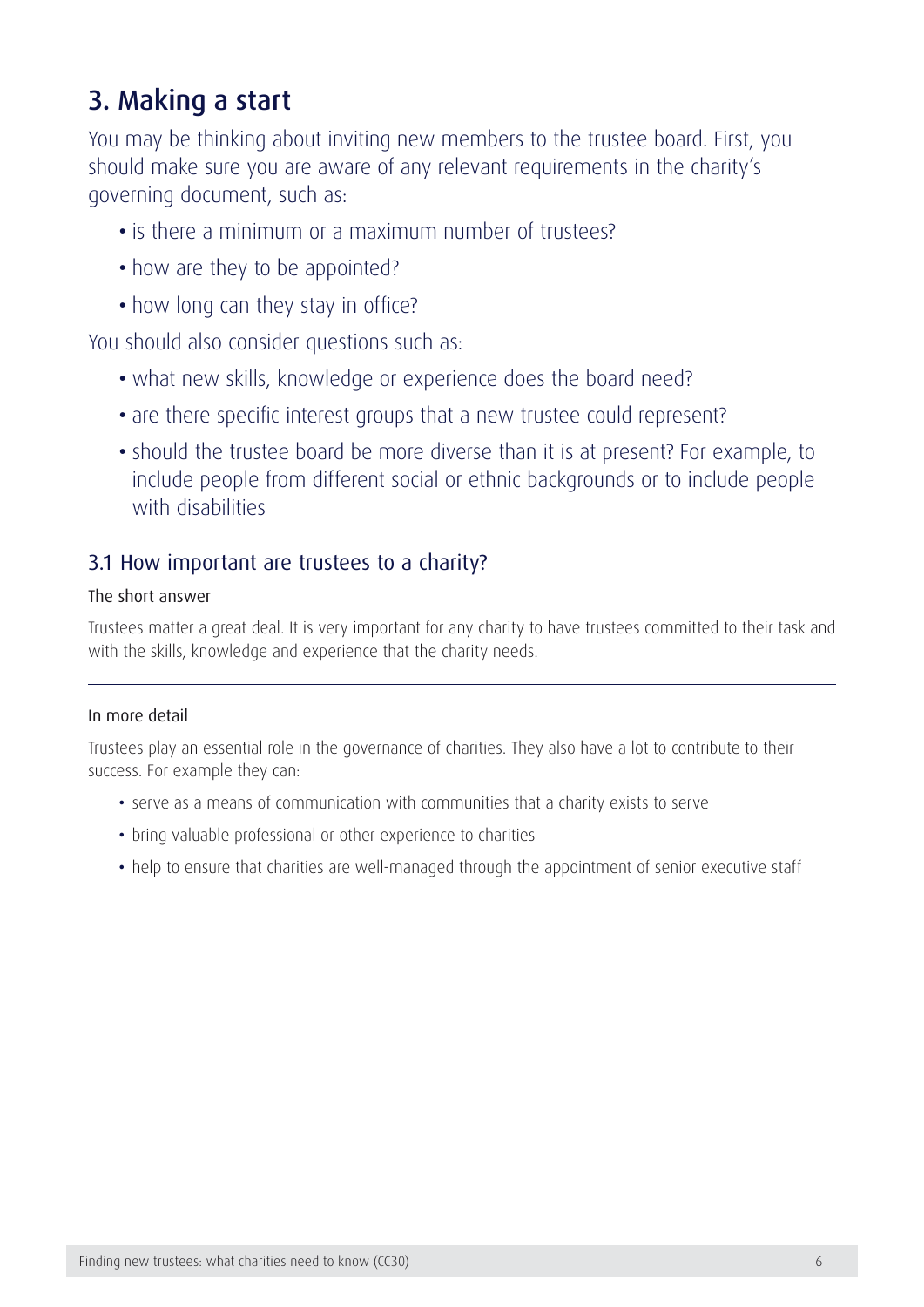## <span id="page-6-0"></span>3. Making a start

You may be thinking about inviting new members to the trustee board. First, you should make sure you are aware of any relevant requirements in the charity's governing document, such as:

- is there a minimum or a maximum number of trustees?
- how are they to be appointed?
- how long can they stay in office?

You should also consider questions such as:

- what new skills, knowledge or experience does the board need?
- are there specific interest groups that a new trustee could represent?
- should the trustee board be more diverse than it is at present? For example, to include people from different social or ethnic backgrounds or to include people with disabilities

### 3.1 How important are trustees to a charity?

#### The short answer

Trustees matter a great deal. It is very important for any charity to have trustees committed to their task and with the skills, knowledge and experience that the charity needs.

#### In more detail

Trustees play an essential role in the governance of charities. They also have a lot to contribute to their success. For example they can:

- serve as a means of communication with communities that a charity exists to serve
- bring valuable professional or other experience to charities
- help to ensure that charities are well-managed through the appointment of senior executive staff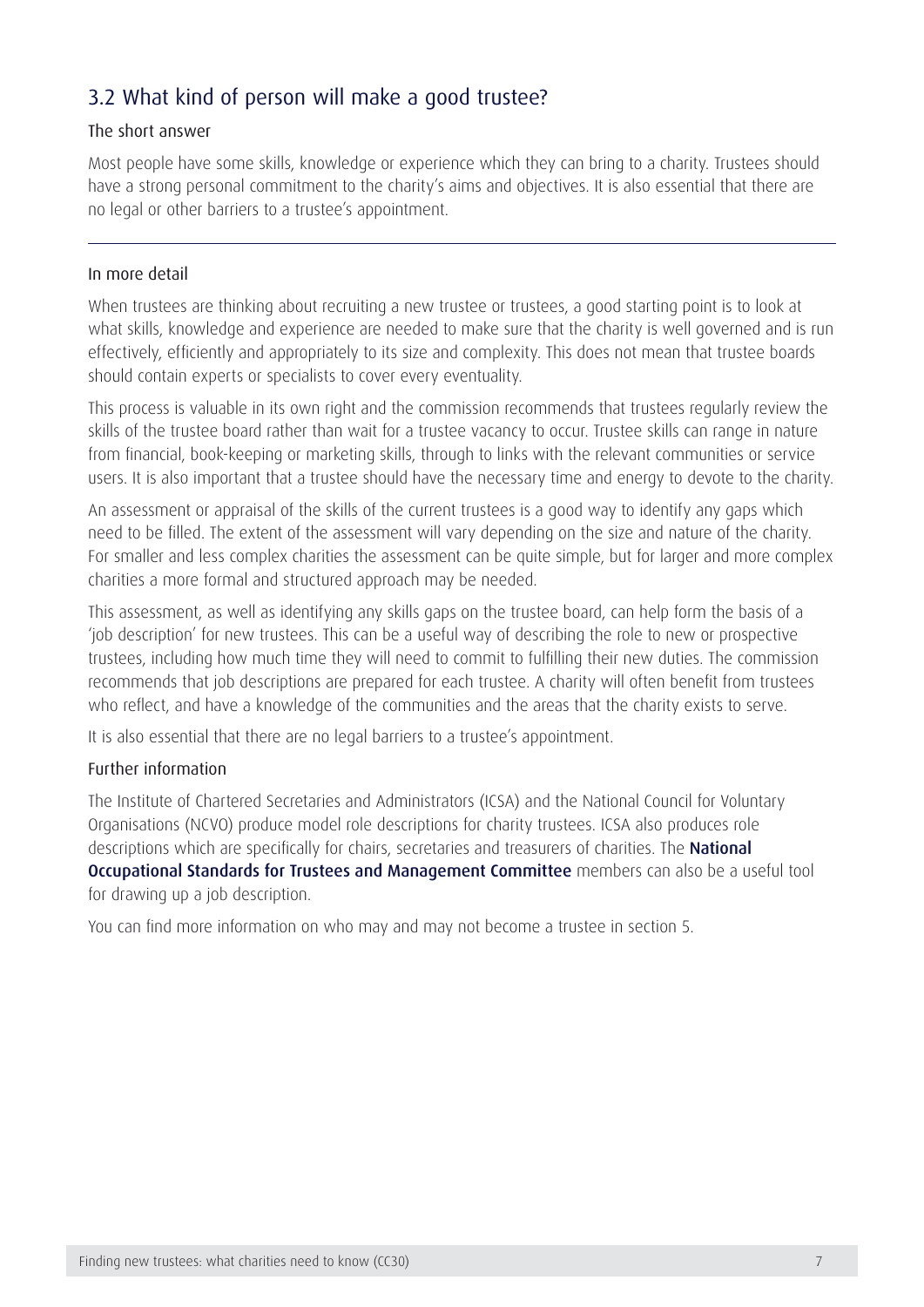### 3.2 What kind of person will make a good trustee?

#### The short answer

Most people have some skills, knowledge or experience which they can bring to a charity. Trustees should have a strong personal commitment to the charity's aims and objectives. It is also essential that there are no legal or other barriers to a trustee's appointment.

#### In more detail

When trustees are thinking about recruiting a new trustee or trustees, a good starting point is to look at what skills, knowledge and experience are needed to make sure that the charity is well governed and is run effectively, efficiently and appropriately to its size and complexity. This does not mean that trustee boards should contain experts or specialists to cover every eventuality.

This process is valuable in its own right and the commission recommends that trustees regularly review the skills of the trustee board rather than wait for a trustee vacancy to occur. Trustee skills can range in nature from financial, book-keeping or marketing skills, through to links with the relevant communities or service users. It is also important that a trustee should have the necessary time and energy to devote to the charity.

An assessment or appraisal of the skills of the current trustees is a good way to identify any gaps which need to be filled. The extent of the assessment will vary depending on the size and nature of the charity. For smaller and less complex charities the assessment can be quite simple, but for larger and more complex charities a more formal and structured approach may be needed.

This assessment, as well as identifying any skills gaps on the trustee board, can help form the basis of a 'job description' for new trustees. This can be a useful way of describing the role to new or prospective trustees, including how much time they will need to commit to fulfilling their new duties. The commission recommends that job descriptions are prepared for each trustee. A charity will often benefit from trustees who reflect, and have a knowledge of the communities and the areas that the charity exists to serve.

It is also essential that there are no legal barriers to a trustee's appointment.

#### Further information

The Institute of Chartered Secretaries and Administrators (ICSA) and the National Council for Voluntary Organisations (NCVO) produce model role descriptions for charity trustees. ICSA also produces role descriptions which are specifically for chairs, secretaries and treasurers of charities. The **National** [Occupational Standards for Trustees and Management Committee](http://www.ukstandards.org.uk/Pages/index.aspx) members can also be a useful tool for drawing up a job description.

You can find more information on who may and may not become a trustee in section 5.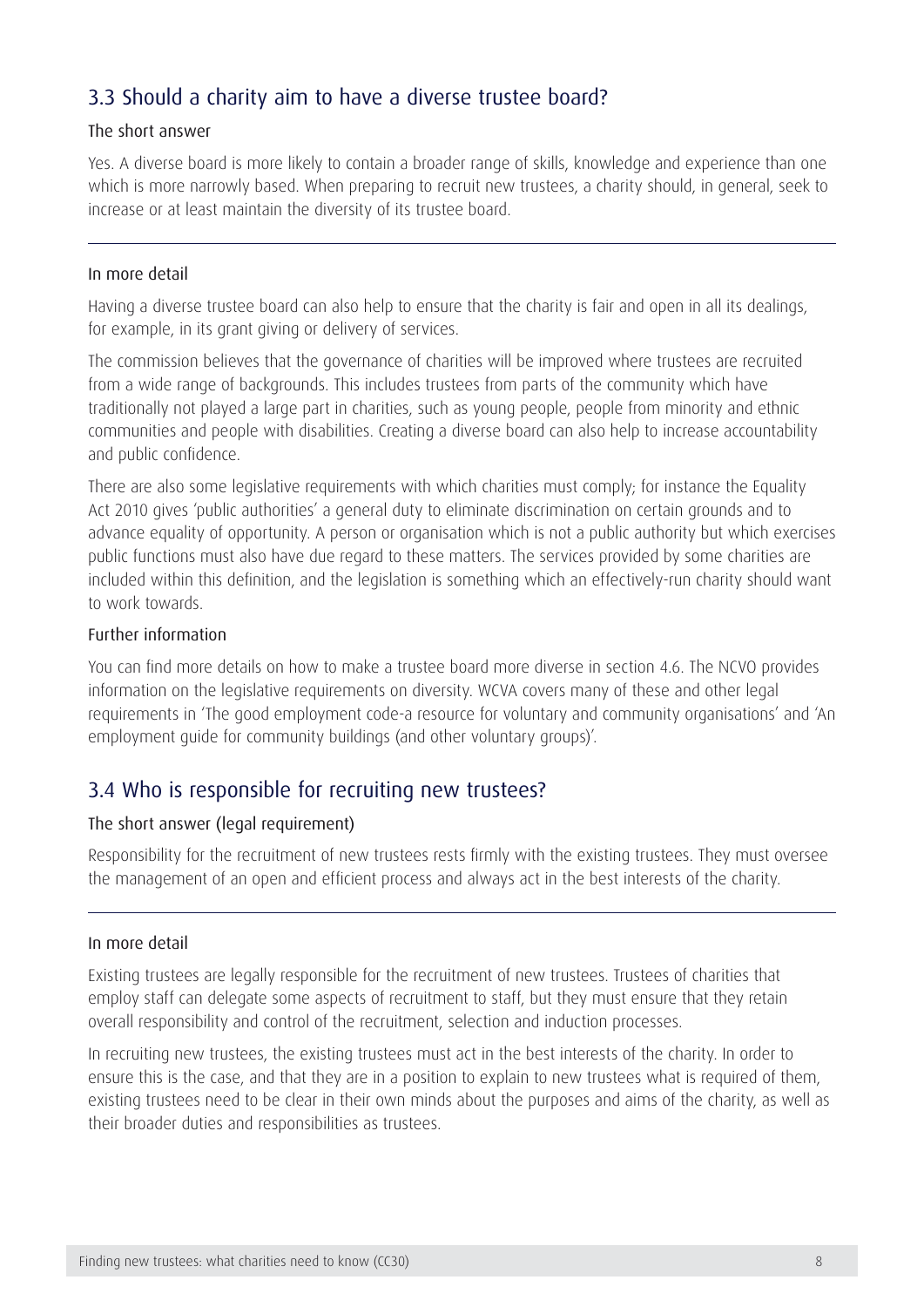### 3.3 Should a charity aim to have a diverse trustee board?

#### The short answer

Yes. A diverse board is more likely to contain a broader range of skills, knowledge and experience than one which is more narrowly based. When preparing to recruit new trustees, a charity should, in general, seek to increase or at least maintain the diversity of its trustee board.

#### In more detail

Having a diverse trustee board can also help to ensure that the charity is fair and open in all its dealings, for example, in its grant giving or delivery of services.

The commission believes that the governance of charities will be improved where trustees are recruited from a wide range of backgrounds. This includes trustees from parts of the community which have traditionally not played a large part in charities, such as young people, people from minority and ethnic communities and people with disabilities. Creating a diverse board can also help to increase accountability and public confidence.

There are also some legislative requirements with which charities must comply; for instance the Equality Act 2010 gives 'public authorities' a general duty to eliminate discrimination on certain grounds and to advance equality of opportunity. A person or organisation which is not a public authority but which exercises public functions must also have due regard to these matters. The services provided by some charities are included within this definition, and the legislation is something which an effectively-run charity should want to work towards.

#### Further information

You can find more details on how to make a trustee board more diverse in section 4.6. The NCVO provides information on the legislative requirements on diversity. WCVA covers many of these and other legal requirements in 'The good employment code-a resource for voluntary and community organisations' and 'An employment guide for community buildings (and other voluntary groups)'.

### 3.4 Who is responsible for recruiting new trustees?

#### The short answer (legal requirement)

Responsibility for the recruitment of new trustees rests firmly with the existing trustees. They must oversee the management of an open and efficient process and always act in the best interests of the charity.

#### In more detail

Existing trustees are legally responsible for the recruitment of new trustees. Trustees of charities that employ staff can delegate some aspects of recruitment to staff, but they must ensure that they retain overall responsibility and control of the recruitment, selection and induction processes.

In recruiting new trustees, the existing trustees must act in the best interests of the charity. In order to ensure this is the case, and that they are in a position to explain to new trustees what is required of them, existing trustees need to be clear in their own minds about the purposes and aims of the charity, as well as their broader duties and responsibilities as trustees.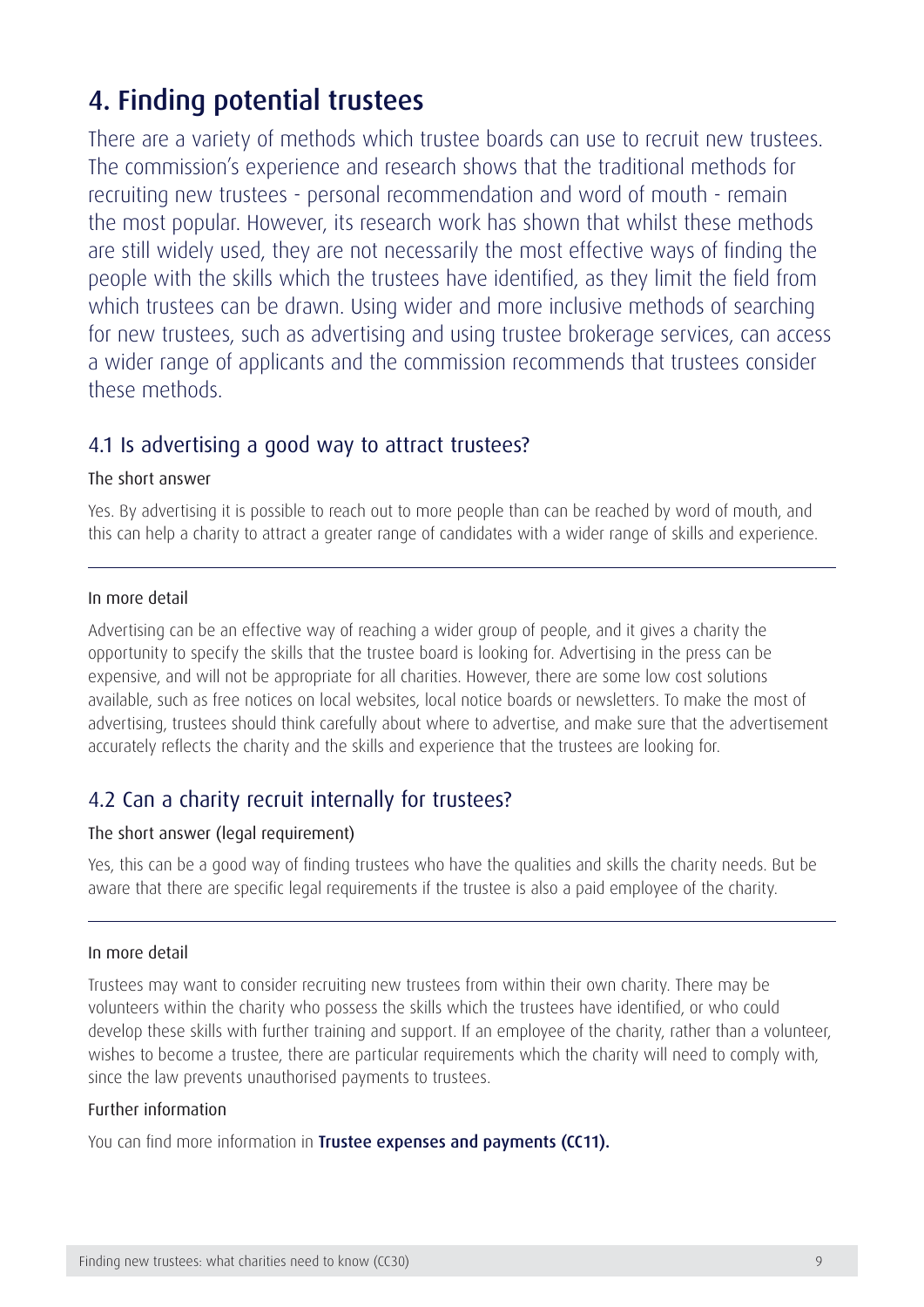## <span id="page-9-0"></span>4. Finding potential trustees

There are a variety of methods which trustee boards can use to recruit new trustees. The commission's experience and research shows that the traditional methods for recruiting new trustees - personal recommendation and word of mouth - remain the most popular. However, its research work has shown that whilst these methods are still widely used, they are not necessarily the most effective ways of finding the people with the skills which the trustees have identified, as they limit the field from which trustees can be drawn. Using wider and more inclusive methods of searching for new trustees, such as advertising and using trustee brokerage services, can access a wider range of applicants and the commission recommends that trustees consider these methods.

### 4.1 Is advertising a good way to attract trustees?

#### The short answer

Yes. By advertising it is possible to reach out to more people than can be reached by word of mouth, and this can help a charity to attract a greater range of candidates with a wider range of skills and experience.

#### In more detail

Advertising can be an effective way of reaching a wider group of people, and it gives a charity the opportunity to specify the skills that the trustee board is looking for. Advertising in the press can be expensive, and will not be appropriate for all charities. However, there are some low cost solutions available, such as free notices on local websites, local notice boards or newsletters. To make the most of advertising, trustees should think carefully about where to advertise, and make sure that the advertisement accurately reflects the charity and the skills and experience that the trustees are looking for.

### 4.2 Can a charity recruit internally for trustees?

#### The short answer (legal requirement)

Yes, this can be a good way of finding trustees who have the qualities and skills the charity needs. But be aware that there are specific legal requirements if the trustee is also a paid employee of the charity.

#### In more detail

Trustees may want to consider recruiting new trustees from within their own charity. There may be volunteers within the charity who possess the skills which the trustees have identified, or who could develop these skills with further training and support. If an employee of the charity, rather than a volunteer, wishes to become a trustee, there are particular requirements which the charity will need to comply with, since the law prevents unauthorised payments to trustees.

#### Further information

You can find more information in [Trustee expenses and payments \(CC11\)](https://www.gov.uk/government/publications/trustee-expenses-and-payments-cc11).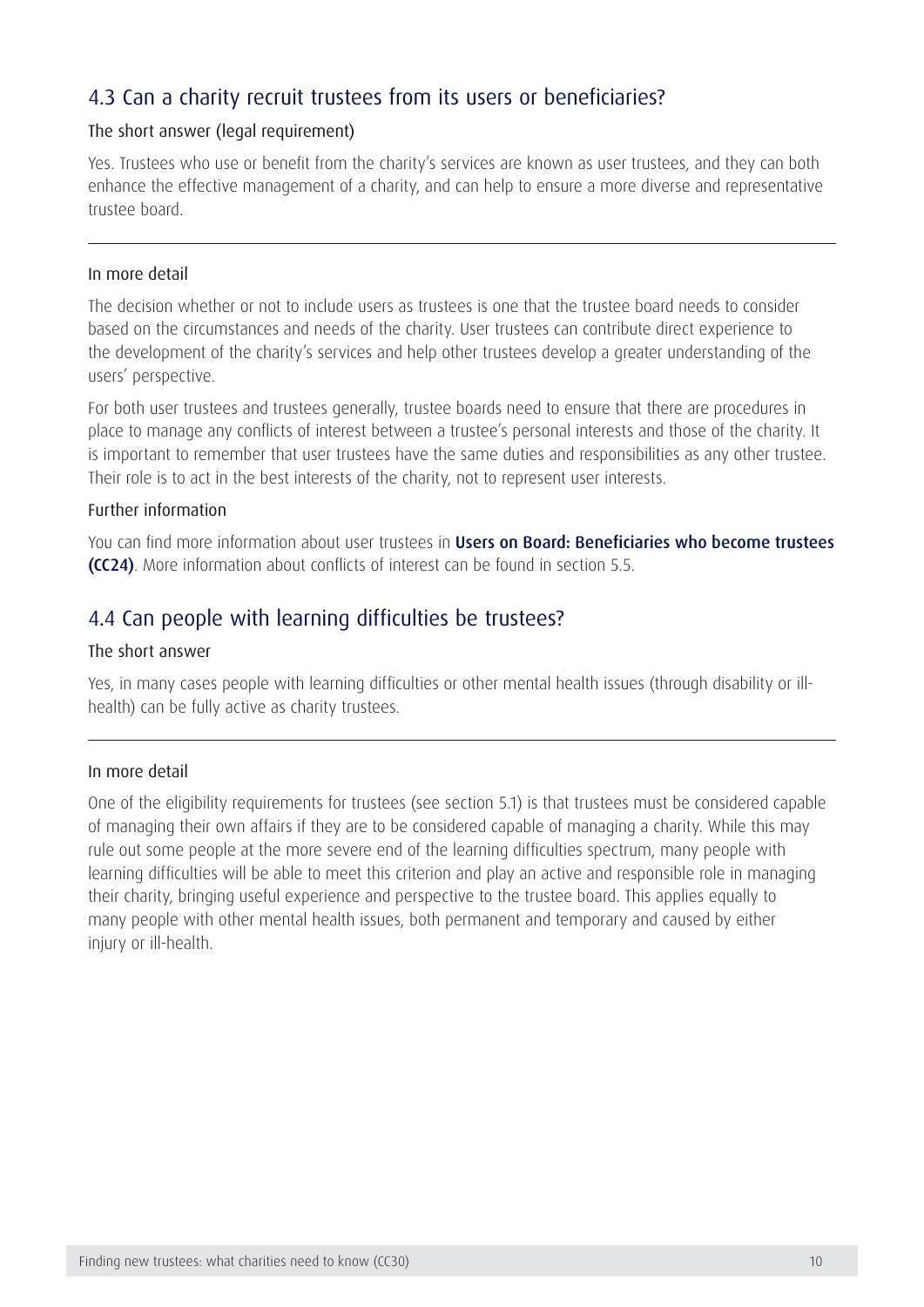### 4.3 Can a charity recruit trustees from its users or beneficiaries?

#### The short answer (legal requirement)

Yes. Trustees who use or benefit from the charity's services are known as user trustees, and they can both enhance the effective management of a charity, and can help to ensure a more diverse and representative trustee board.

#### In more detail

The decision whether or not to include users as trustees is one that the trustee board needs to consider based on the circumstances and needs of the charity. User trustees can contribute direct experience to the development of the charity's services and help other trustees develop a greater understanding of the users' perspective.

For both user trustees and trustees generally, trustee boards need to ensure that there are procedures in place to manage any conflicts of interest between a trustee's personal interests and those of the charity. It is important to remember that user trustees have the same duties and responsibilities as any other trustee. Their role is to act in the best interests of the charity, not to represent user interests.

#### Further information

You can find more information about user trustees in Users on Board: Beneficiaries who become trustees [\(CC24\)](https://www.gov.uk/government/publications/users-on-board-beneficiaries-who-become-trustees-cc24). More information about conflicts of interest can be found in section 5.5.

### 4.4 Can people with learning difficulties be trustees?

#### The short answer

Yes, in many cases people with learning difficulties or other mental health issues (through disability or illhealth) can be fully active as charity trustees.

#### In more detail

One of the eligibility requirements for trustees (see section 5.1) is that trustees must be considered capable of managing their own affairs if they are to be considered capable of managing a charity. While this may rule out some people at the more severe end of the learning difficulties spectrum, many people with learning difficulties will be able to meet this criterion and play an active and responsible role in managing their charity, bringing useful experience and perspective to the trustee board. This applies equally to many people with other mental health issues, both permanent and temporary and caused by either injury or ill-health.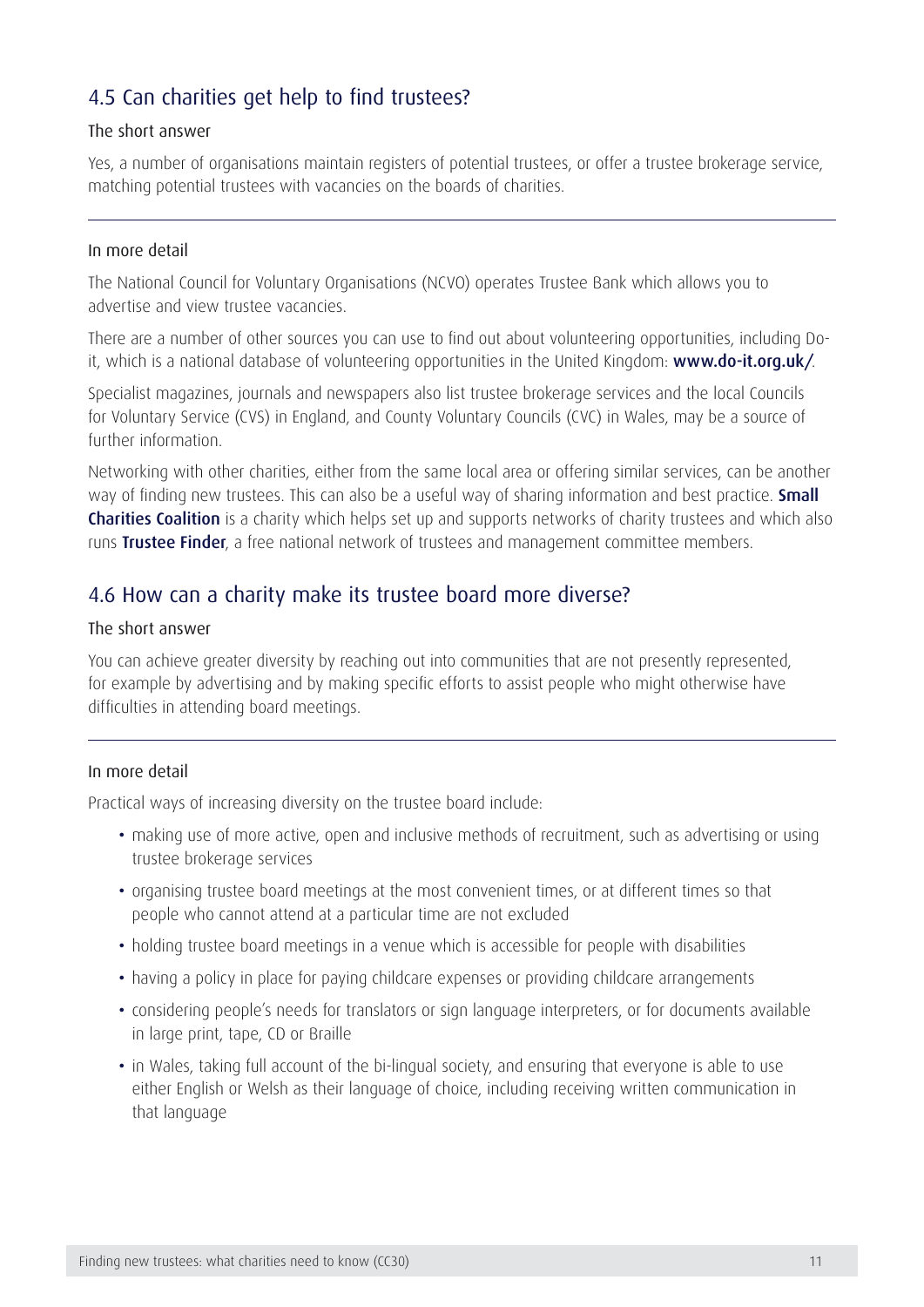### 4.5 Can charities get help to find trustees?

#### The short answer

Yes, a number of organisations maintain registers of potential trustees, or offer a trustee brokerage service, matching potential trustees with vacancies on the boards of charities.

#### In more detail

The National Council for Voluntary Organisations (NCVO) operates Trustee Bank which allows you to advertise and view trustee vacancies.

There are a number of other sources you can use to find out about volunteering opportunities, including Doit, which is a national database of volunteering opportunities in the United Kingdom: [www.do-it.org.uk/](http://www.do-it.org.uk/).

Specialist magazines, journals and newspapers also list trustee brokerage services and the local Councils for Voluntary Service (CVS) in England, and County Voluntary Councils (CVC) in Wales, may be a source of further information.

Networking with other charities, either from the same local area or offering similar services, can be another way of finding new trustees. This can also be a useful way of sharing information and best practice. **Small [Charities Coalition](http://www.smallcharities.org.uk/)** is a charity which helps set up and supports networks of charity trustees and which also runs [Trustee Finder](http://www.smallcharities.org.uk/trustee-finder/), a free national network of trustees and management committee members.

### 4.6 How can a charity make its trustee board more diverse?

#### The short answer

You can achieve greater diversity by reaching out into communities that are not presently represented, for example by advertising and by making specific efforts to assist people who might otherwise have difficulties in attending board meetings.

#### In more detail

Practical ways of increasing diversity on the trustee board include:

- making use of more active, open and inclusive methods of recruitment, such as advertising or using trustee brokerage services
- organising trustee board meetings at the most convenient times, or at different times so that people who cannot attend at a particular time are not excluded
- holding trustee board meetings in a venue which is accessible for people with disabilities
- having a policy in place for paying childcare expenses or providing childcare arrangements
- considering people's needs for translators or sign language interpreters, or for documents available in large print, tape, CD or Braille
- in Wales, taking full account of the bi-lingual society, and ensuring that everyone is able to use either English or Welsh as their language of choice, including receiving written communication in that language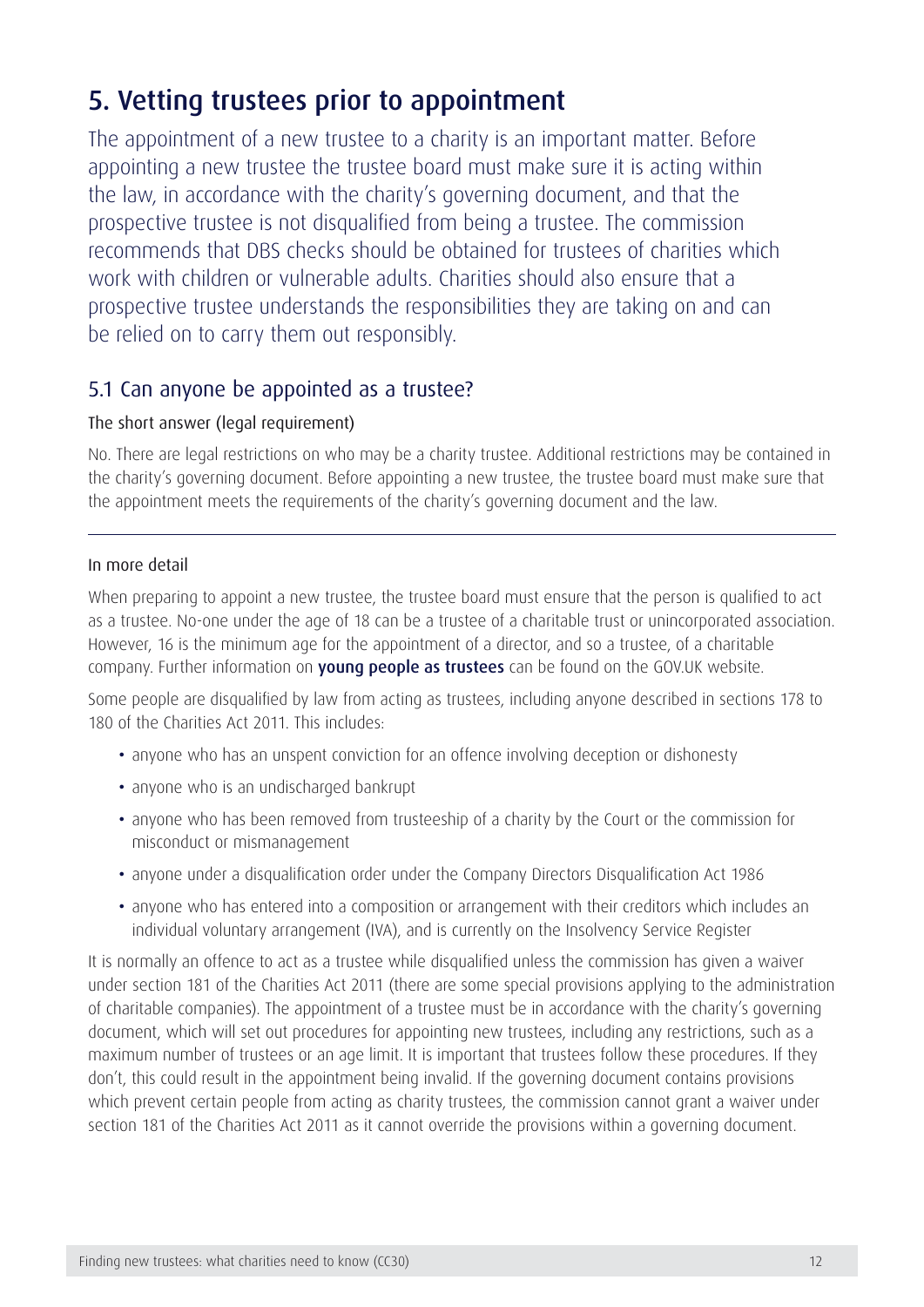## <span id="page-12-0"></span>5. Vetting trustees prior to appointment

The appointment of a new trustee to a charity is an important matter. Before appointing a new trustee the trustee board must make sure it is acting within the law, in accordance with the charity's governing document, and that the prospective trustee is not disqualified from being a trustee. The commission recommends that DBS checks should be obtained for trustees of charities which work with children or vulnerable adults. Charities should also ensure that a prospective trustee understands the responsibilities they are taking on and can be relied on to carry them out responsibly.

### 5.1 Can anyone be appointed as a trustee?

#### The short answer (legal requirement)

No. There are legal restrictions on who may be a charity trustee. Additional restrictions may be contained in the charity's governing document. Before appointing a new trustee, the trustee board must make sure that the appointment meets the requirements of the charity's governing document and the law.

#### In more detail

When preparing to appoint a new trustee, the trustee board must ensure that the person is qualified to act as a trustee. No-one under the age of 18 can be a trustee of a charitable trust or unincorporated association. However, 16 is the minimum age for the appointment of a director, and so a trustee, of a charitable company. Further information on [young people as trustees](https://www.gov.uk/trustee-board-people-and-skills) can be found on the GOV.UK website.

Some people are disqualified by law from acting as trustees, including anyone described in sections 178 to 180 of the Charities Act 2011. This includes:

- anyone who has an unspent conviction for an offence involving deception or dishonesty
- anyone who is an undischarged bankrupt
- anyone who has been removed from trusteeship of a charity by the Court or the commission for misconduct or mismanagement
- anyone under a disqualification order under the Company Directors Disqualification Act 1986
- anyone who has entered into a composition or arrangement with their creditors which includes an individual voluntary arrangement (IVA), and is currently on the Insolvency Service Register

It is normally an offence to act as a trustee while disqualified unless the commission has given a waiver under section 181 of the Charities Act 2011 (there are some special provisions applying to the administration of charitable companies). The appointment of a trustee must be in accordance with the charity's governing document, which will set out procedures for appointing new trustees, including any restrictions, such as a maximum number of trustees or an age limit. It is important that trustees follow these procedures. If they don't, this could result in the appointment being invalid. If the governing document contains provisions which prevent certain people from acting as charity trustees, the commission cannot grant a waiver under section 181 of the Charities Act 2011 as it cannot override the provisions within a governing document.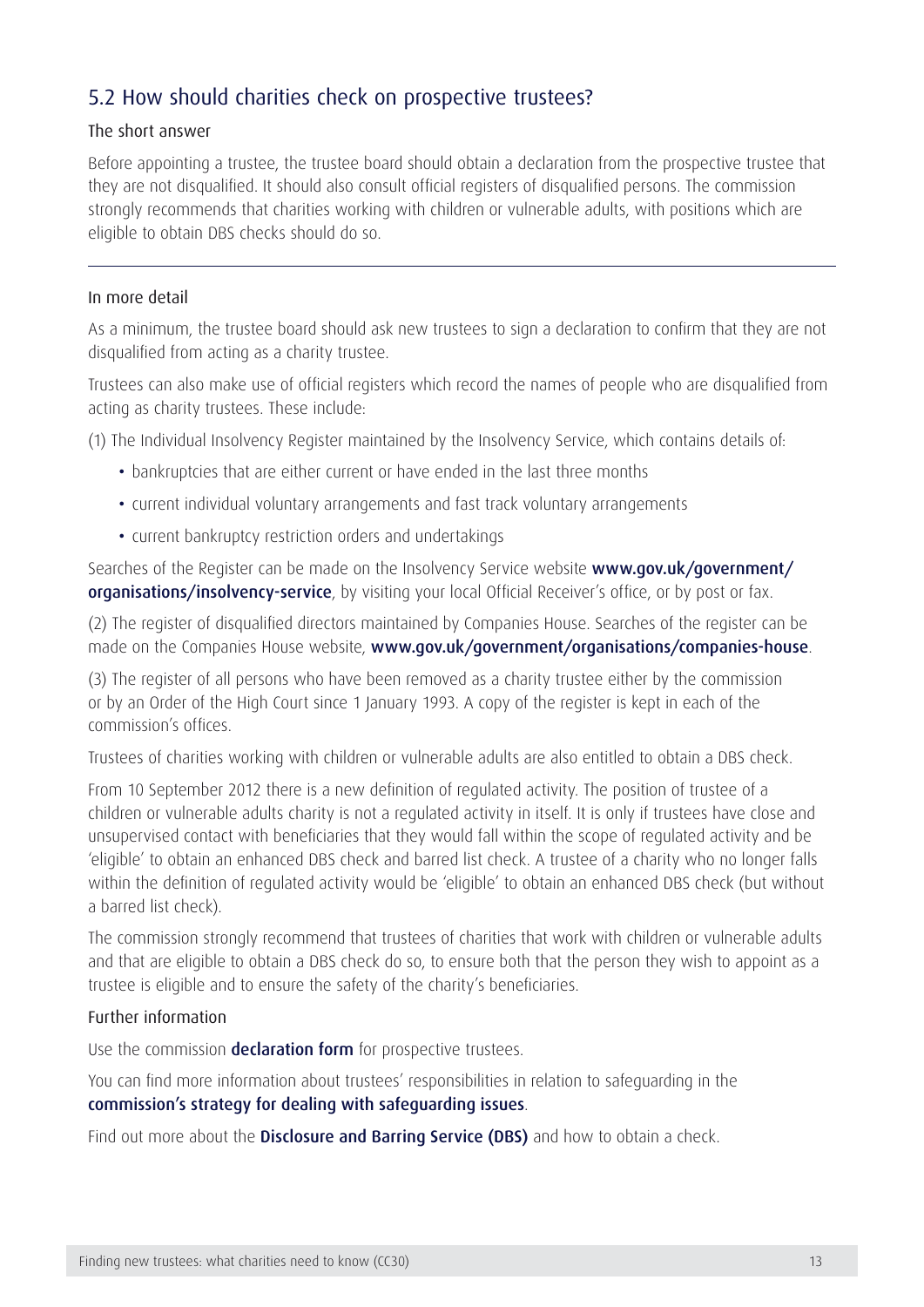### 5.2 How should charities check on prospective trustees?

#### The short answer

Before appointing a trustee, the trustee board should obtain a declaration from the prospective trustee that they are not disqualified. It should also consult official registers of disqualified persons. The commission strongly recommends that charities working with children or vulnerable adults, with positions which are eligible to obtain DBS checks should do so.

#### In more detail

As a minimum, the trustee board should ask new trustees to sign a declaration to confirm that they are not disqualified from acting as a charity trustee.

Trustees can also make use of official registers which record the names of people who are disqualified from acting as charity trustees. These include:

(1) The Individual Insolvency Register maintained by the Insolvency Service, which contains details of:

- bankruptcies that are either current or have ended in the last three months
- current individual voluntary arrangements and fast track voluntary arrangements
- current bankruptcy restriction orders and undertakings

Searches of the Register can be made on the Insolvency Service website [www.gov.uk/government/](https://www.gov.uk/government/organisations/insolvency-service) [organisations/insolvency-service](https://www.gov.uk/government/organisations/insolvency-service), by visiting your local Official Receiver's office, or by post or fax.

(2) The register of disqualified directors maintained by Companies House. Searches of the register can be made on the Companies House website, [www.gov.uk/government/organisations/companies-hous](https://www.gov.uk/government/organisations/companies-house)e.

(3) The register of all persons who have been removed as a charity trustee either by the commission or by an Order of the High Court since 1 January 1993. A copy of the register is kept in each of the commission's offices.

Trustees of charities working with children or vulnerable adults are also entitled to obtain a DBS check.

From 10 September 2012 there is a new definition of regulated activity. The position of trustee of a children or vulnerable adults charity is not a regulated activity in itself. It is only if trustees have close and unsupervised contact with beneficiaries that they would fall within the scope of regulated activity and be 'eligible' to obtain an enhanced DBS check and barred list check. A trustee of a charity who no longer falls within the definition of regulated activity would be 'eligible' to obtain an enhanced DBS check (but without a barred list check).

The commission strongly recommend that trustees of charities that work with children or vulnerable adults and that are eligible to obtain a DBS check do so, to ensure both that the person they wish to appoint as a trustee is eligible and to ensure the safety of the charity's beneficiaries.

#### Further information

Use the commission **[declaration form](https://www.gov.uk/government/publications/confirmation-of-charity-trustee-eligibility)** for prospective trustees.

You can find more information about trustees' responsibilities in relation to safeguarding in the [commission's strategy for dealing with safeguarding issues](https://www.gov.uk/trustee-board-people-and-skills).

Find out more about the **[Disclosure and Barring Service \(DBS\)](https://www.gov.uk/government/organisations/disclosure-and-barring-service)** and how to obtain a check.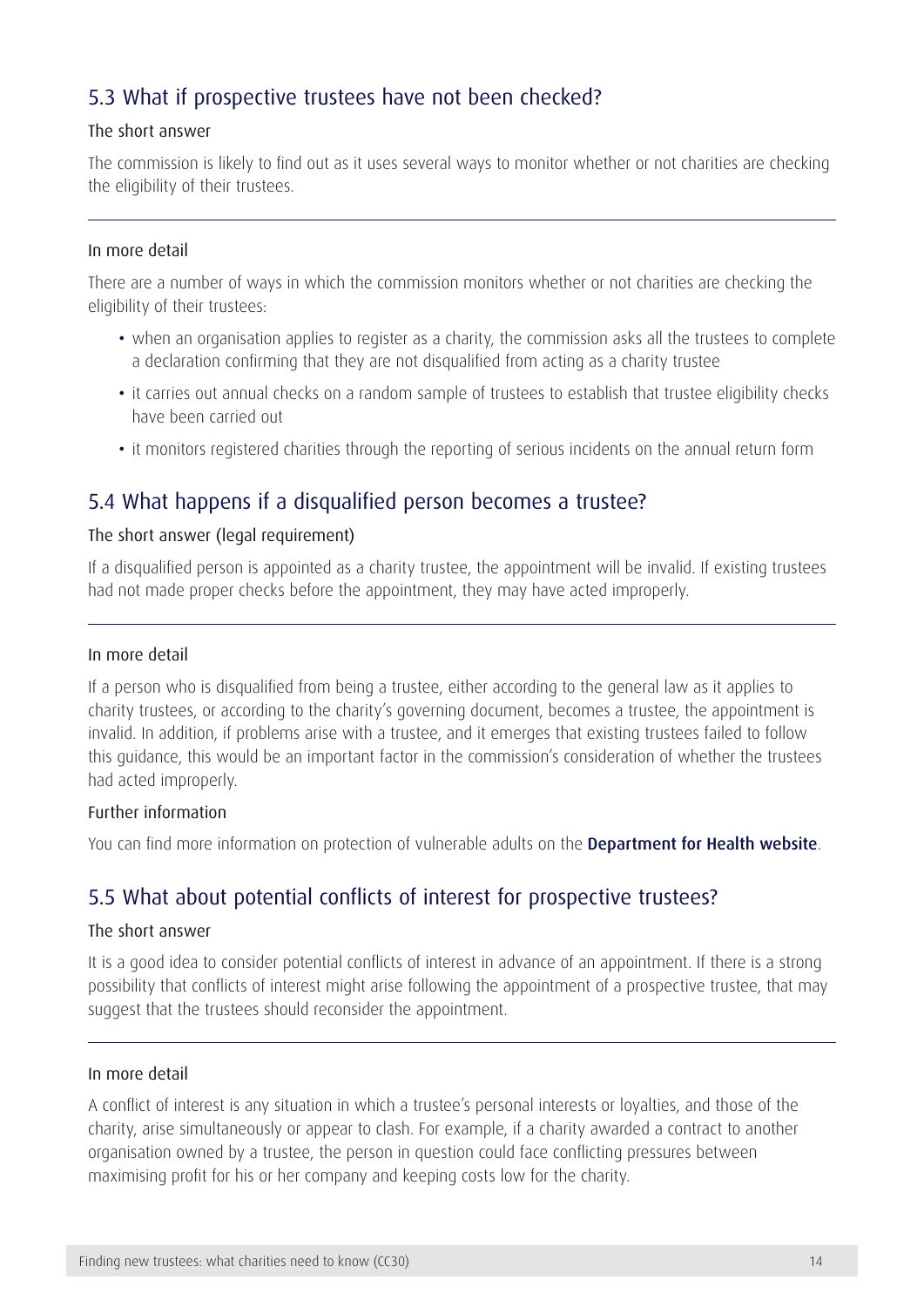### 5.3 What if prospective trustees have not been checked?

#### The short answer

The commission is likely to find out as it uses several ways to monitor whether or not charities are checking the eligibility of their trustees.

#### In more detail

There are a number of ways in which the commission monitors whether or not charities are checking the eligibility of their trustees:

- when an organisation applies to register as a charity, the commission asks all the trustees to complete a declaration confirming that they are not disqualified from acting as a charity trustee
- it carries out annual checks on a random sample of trustees to establish that trustee eligibility checks have been carried out
- it monitors registered charities through the reporting of serious incidents on the annual return form

### 5.4 What happens if a disqualified person becomes a trustee?

#### The short answer (legal requirement)

If a disqualified person is appointed as a charity trustee, the appointment will be invalid. If existing trustees had not made proper checks before the appointment, they may have acted improperly.

#### In more detail

If a person who is disqualified from being a trustee, either according to the general law as it applies to charity trustees, or according to the charity's governing document, becomes a trustee, the appointment is invalid. In addition, if problems arise with a trustee, and it emerges that existing trustees failed to follow this guidance, this would be an important factor in the commission's consideration of whether the trustees had acted improperly.

#### Further information

You can find more information on protection of vulnerable adults on the [Department for Health website](https://www.gov.uk/government/organisations/department-of-health).

### 5.5 What about potential conflicts of interest for prospective trustees?

#### The short answer

It is a good idea to consider potential conflicts of interest in advance of an appointment. If there is a strong possibility that conflicts of interest might arise following the appointment of a prospective trustee, that may suggest that the trustees should reconsider the appointment.

#### In more detail

A conflict of interest is any situation in which a trustee's personal interests or loyalties, and those of the charity, arise simultaneously or appear to clash. For example, if a charity awarded a contract to another organisation owned by a trustee, the person in question could face conflicting pressures between maximising profit for his or her company and keeping costs low for the charity.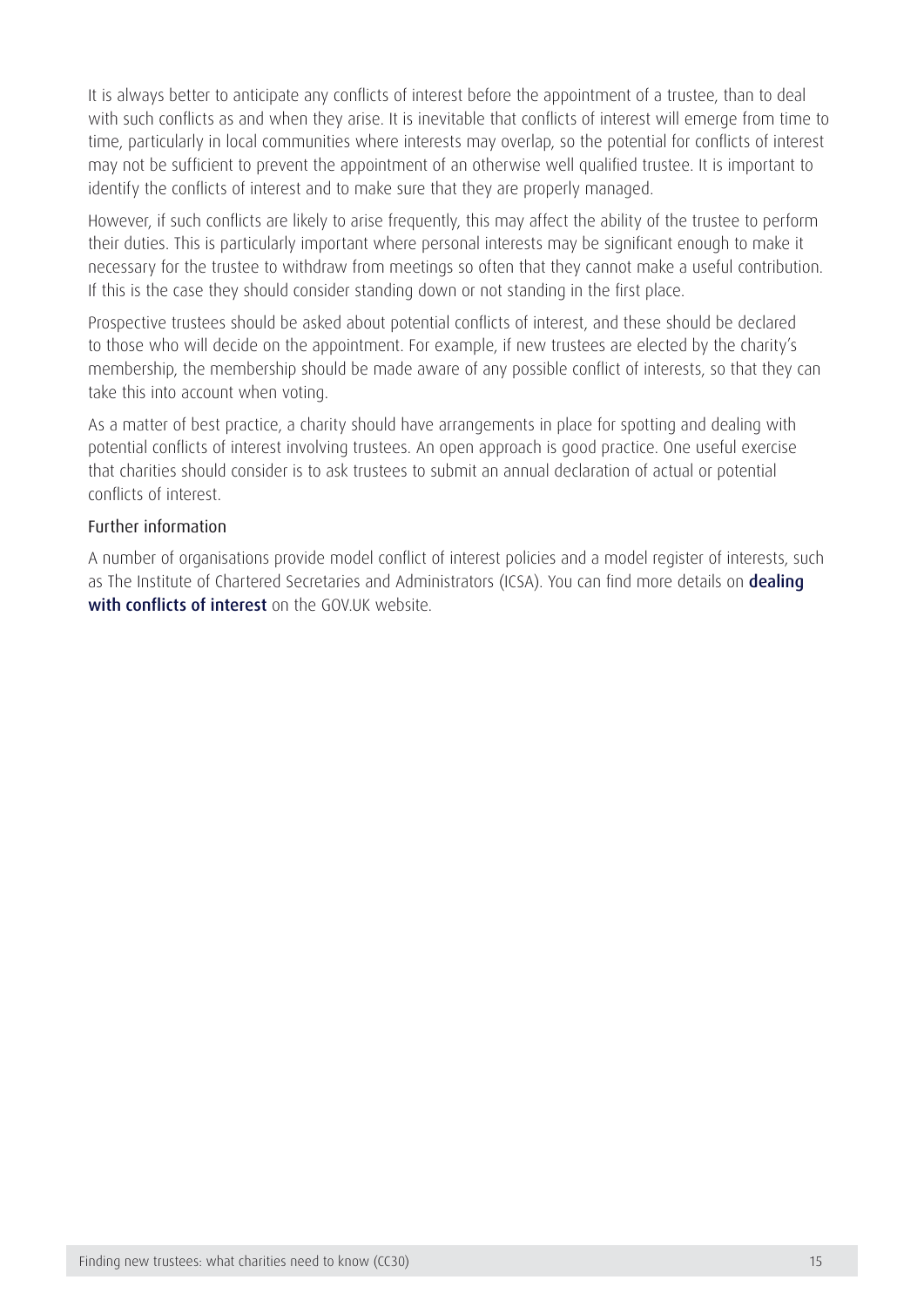It is always better to anticipate any conflicts of interest before the appointment of a trustee, than to deal with such conflicts as and when they arise. It is inevitable that conflicts of interest will emerge from time to time, particularly in local communities where interests may overlap, so the potential for conflicts of interest may not be sufficient to prevent the appointment of an otherwise well qualified trustee. It is important to identify the conflicts of interest and to make sure that they are properly managed.

However, if such conflicts are likely to arise frequently, this may affect the ability of the trustee to perform their duties. This is particularly important where personal interests may be significant enough to make it necessary for the trustee to withdraw from meetings so often that they cannot make a useful contribution. If this is the case they should consider standing down or not standing in the first place.

Prospective trustees should be asked about potential conflicts of interest, and these should be declared to those who will decide on the appointment. For example, if new trustees are elected by the charity's membership, the membership should be made aware of any possible conflict of interests, so that they can take this into account when voting.

As a matter of best practice, a charity should have arrangements in place for spotting and dealing with potential conflicts of interest involving trustees. An open approach is good practice. One useful exercise that charities should consider is to ask trustees to submit an annual declaration of actual or potential conflicts of interest.

#### Further information

A number of organisations provide model conflict of interest policies and a model register of interests, such as The Institute of Chartered Secretaries and Administrators (ICSA). You can find more details on dealing [with conflicts of interest](https://www.gov.uk/manage-a-conflict-of-interest-in-your-charity/) on the GOV.UK website.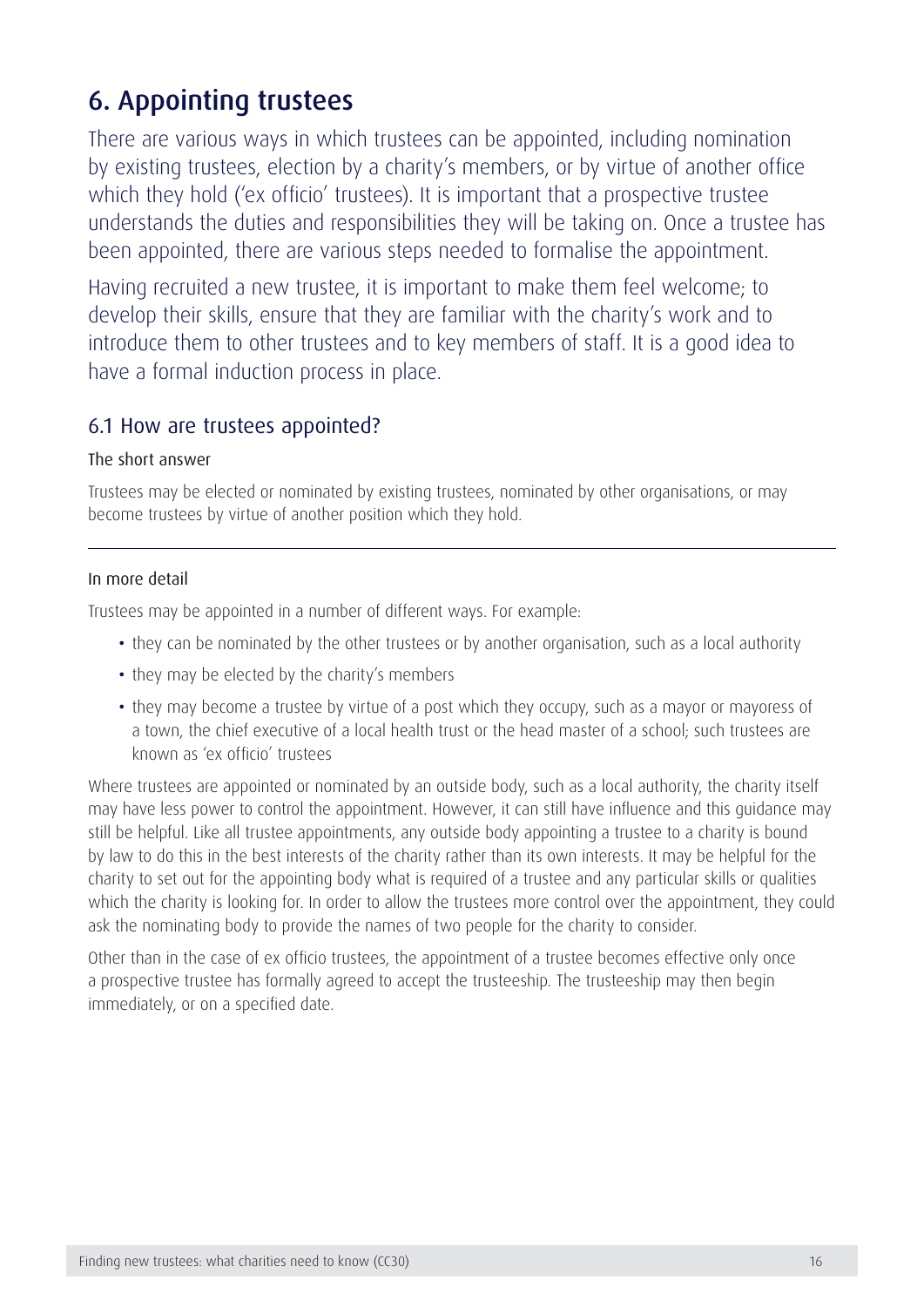## <span id="page-16-0"></span>6. Appointing trustees

There are various ways in which trustees can be appointed, including nomination by existing trustees, election by a charity's members, or by virtue of another office which they hold ('ex officio' trustees). It is important that a prospective trustee understands the duties and responsibilities they will be taking on. Once a trustee has been appointed, there are various steps needed to formalise the appointment.

Having recruited a new trustee, it is important to make them feel welcome; to develop their skills, ensure that they are familiar with the charity's work and to introduce them to other trustees and to key members of staff. It is a good idea to have a formal induction process in place.

### 6.1 How are trustees appointed?

#### The short answer

Trustees may be elected or nominated by existing trustees, nominated by other organisations, or may become trustees by virtue of another position which they hold.

#### In more detail

Trustees may be appointed in a number of different ways. For example:

- they can be nominated by the other trustees or by another organisation, such as a local authority
- they may be elected by the charity's members
- they may become a trustee by virtue of a post which they occupy, such as a mayor or mayoress of a town, the chief executive of a local health trust or the head master of a school; such trustees are known as 'ex officio' trustees

Where trustees are appointed or nominated by an outside body, such as a local authority, the charity itself may have less power to control the appointment. However, it can still have influence and this guidance may still be helpful. Like all trustee appointments, any outside body appointing a trustee to a charity is bound by law to do this in the best interests of the charity rather than its own interests. It may be helpful for the charity to set out for the appointing body what is required of a trustee and any particular skills or qualities which the charity is looking for. In order to allow the trustees more control over the appointment, they could ask the nominating body to provide the names of two people for the charity to consider.

Other than in the case of ex officio trustees, the appointment of a trustee becomes effective only once a prospective trustee has formally agreed to accept the trusteeship. The trusteeship may then begin immediately, or on a specified date.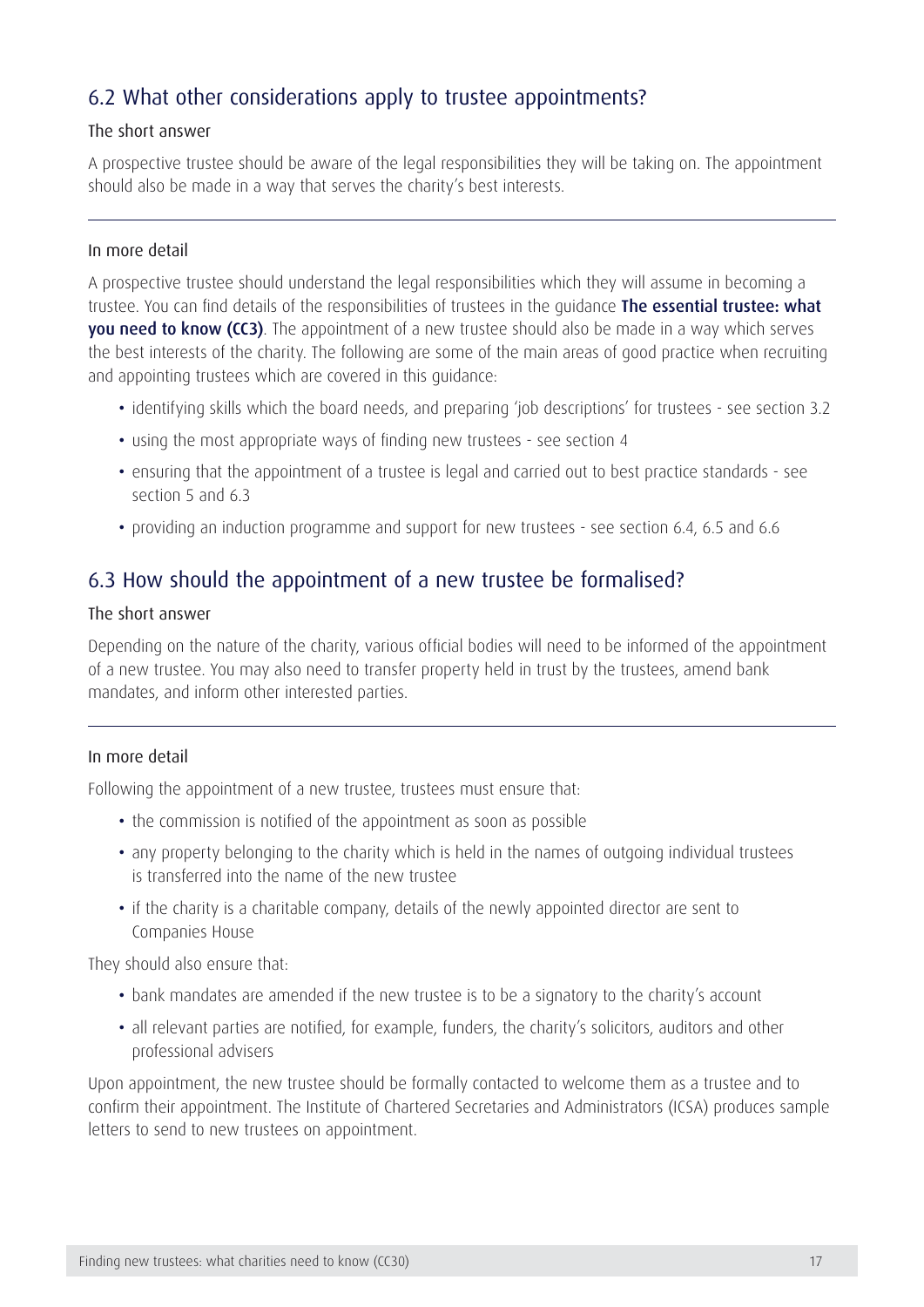### 6.2 What other considerations apply to trustee appointments?

#### The short answer

A prospective trustee should be aware of the legal responsibilities they will be taking on. The appointment should also be made in a way that serves the charity's best interests.

#### In more detail

A prospective trustee should understand the legal responsibilities which they will assume in becoming a trustee. You can find details of the responsibilities of trustees in the quidance The essential trustee: what [you need to know \(CC3\)](https://www.gov.uk/government/publications/the-essential-trustee-what-you-need-to-know-cc3). The appointment of a new trustee should also be made in a way which serves the best interests of the charity. The following are some of the main areas of good practice when recruiting and appointing trustees which are covered in this guidance:

- identifying skills which the board needs, and preparing 'job descriptions' for trustees see section 3.2
- using the most appropriate ways of finding new trustees see section 4
- ensuring that the appointment of a trustee is legal and carried out to best practice standards see section 5 and 6.3
- providing an induction programme and support for new trustees see section 6.4, 6.5 and 6.6

### 6.3 How should the appointment of a new trustee be formalised?

#### The short answer

Depending on the nature of the charity, various official bodies will need to be informed of the appointment of a new trustee. You may also need to transfer property held in trust by the trustees, amend bank mandates, and inform other interested parties.

#### In more detail

Following the appointment of a new trustee, trustees must ensure that:

- the commission is notified of the appointment as soon as possible
- any property belonging to the charity which is held in the names of outgoing individual trustees is transferred into the name of the new trustee
- if the charity is a charitable company, details of the newly appointed director are sent to Companies House

They should also ensure that:

- bank mandates are amended if the new trustee is to be a signatory to the charity's account
- all relevant parties are notified, for example, funders, the charity's solicitors, auditors and other professional advisers

Upon appointment, the new trustee should be formally contacted to welcome them as a trustee and to confirm their appointment. The Institute of Chartered Secretaries and Administrators (ICSA) produces sample letters to send to new trustees on appointment.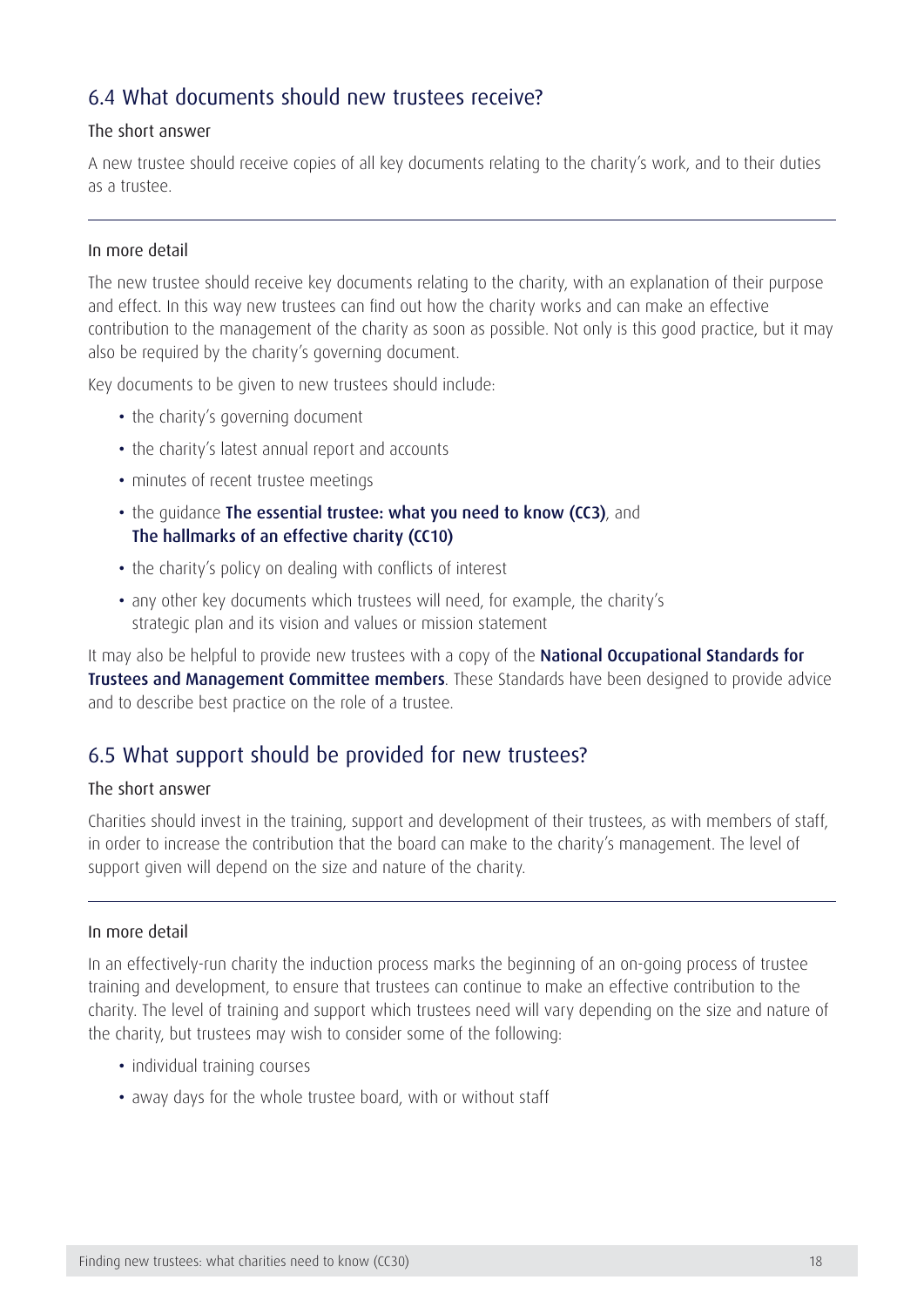### 6.4 What documents should new trustees receive?

#### The short answer

A new trustee should receive copies of all key documents relating to the charity's work, and to their duties as a trustee.

#### In more detail

The new trustee should receive key documents relating to the charity, with an explanation of their purpose and effect. In this way new trustees can find out how the charity works and can make an effective contribution to the management of the charity as soon as possible. Not only is this good practice, but it may also be required by the charity's governing document.

Key documents to be given to new trustees should include:

- the charity's governing document
- the charity's latest annual report and accounts
- minutes of recent trustee meetings
- the quidance [The essential trustee: what you need to know \(CC3\)](https://www.gov.uk/government/publications/the-essential-trustee-what-you-need-to-know-cc3), and [The hallmarks of an effective charity \(CC10\)](https://www.gov.uk/government/publications/the-hallmarks-of-an-effective-charity-cc10)
- the charity's policy on dealing with conflicts of interest
- any other key documents which trustees will need, for example, the charity's strategic plan and its vision and values or mission statement

It may also be helpful to provide new trustees with a copy of the National Occupational Standards for **[Trustees and Management Committee members](http://nos.ukces.org.uk/Pages/results.aspx?u=http%3A%2F%2Fnos%2Eukces%2Eorg%2Euk&k=trustee%20and%20management#Default=%7B%22k%22%3A%22trustee%20and%20management%22%2C%22r%22%3A%5B%7B%22n%22%3A%22RefinableString01%22%2C%22t%22%3A%5B%22%5C%22%C7%82%C7%825472757374656520616e64204d616e6167656d656e7420436f6d6d69747465653b20%5C%22%22%5D%2C%22o%22%3A%22and%22%2C%22k%22%3Afalse%2C%22m%22%3Anull%7D%5D%7D)**. These Standards have been designed to provide advice and to describe best practice on the role of a trustee.

### 6.5 What support should be provided for new trustees?

#### The short answer

Charities should invest in the training, support and development of their trustees, as with members of staff, in order to increase the contribution that the board can make to the charity's management. The level of support given will depend on the size and nature of the charity.

#### In more detail

In an effectively-run charity the induction process marks the beginning of an on-going process of trustee training and development, to ensure that trustees can continue to make an effective contribution to the charity. The level of training and support which trustees need will vary depending on the size and nature of the charity, but trustees may wish to consider some of the following:

- individual training courses
- away days for the whole trustee board, with or without staff